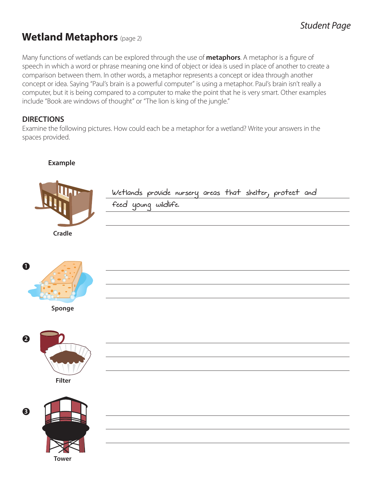## **Wetland Metaphors** (page 2)

Many functions of wetlands can be explored through the use of **metaphors**. A metaphor is a figure of speech in which a word or phrase meaning one kind of object or idea is used in place of another to create a comparison between them. In other words, a metaphor represents a concept or idea through another concept or idea. Saying "Paul's brain is a powerful computer" is using a metaphor. Paul's brain isn't really a computer, but it is being compared to a computer to make the point that he is very smart. Other examples include "Book are windows of thought" or "The lion is king of the jungle."

### **DIRECTIONS**

Examine the following pictures. How could each be a metaphor for a wetland? Write your answers in the spaces provided.

#### **Example**



Wetlands provide nursery areas that shelter, protect and

feed young wildlife.



**Sponge**



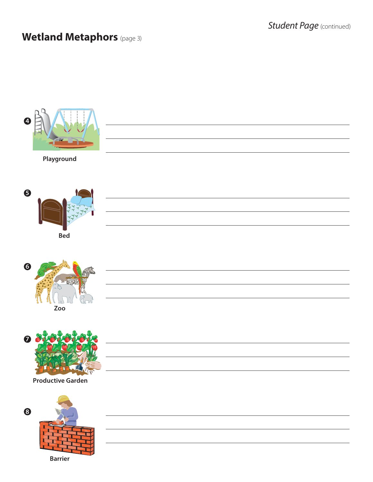<u> 1989 - Johann Barbara, martxa alemaniar arg</u>

<u> 1989 - Johann Stoff, fransk politik (d. 1989)</u>

<u> 1989 - Johann Stoff, deutscher Stoffen und der Stoffen und der Stoffen und der Stoffen und der Stoffen und der</u>

<u> 1989 - Johann Barbara, martxa alemaniar arg</u>

### **Wetland Metaphors** (page 3)



**Playground**







**Productive Garden**